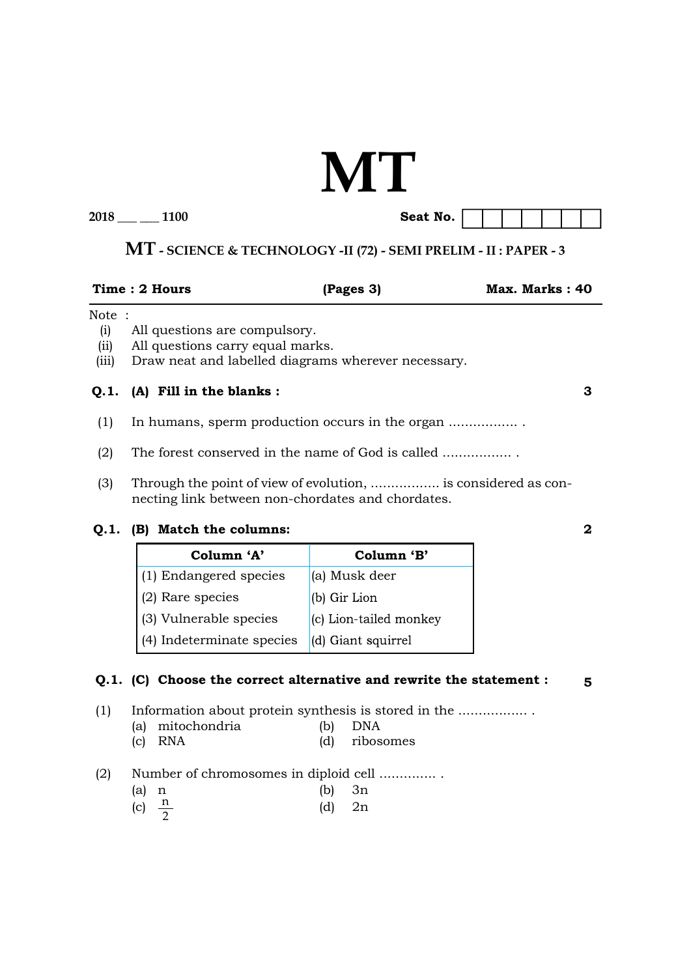# **MT**

**2018 \_\_\_ \_\_\_ 1100 Seat No.**

## **MT - SCIENCE & TECHNOLOGY -II (72) - SEMI PRELIM - II : PAPER - 3**

| Max. Marks: 40 |
|----------------|
|                |

#### Note :

- (i) All questions are compulsory.
- (ii) All questions carry equal marks.
- (iii) Draw neat and labelled diagrams wherever necessary.

#### **Q.1. (A) Fill in the blanks :**

- (1) In humans, sperm production occurs in the organ ................. .
- (2) The forest conserved in the name of God is called ..................
- (3) Through the point of view of evolution, ................. is considered as connecting link between non-chordates and chordates.

#### **Q.1. (B) Match the columns:**

| Column 'A'                | Column 'B'               |
|---------------------------|--------------------------|
| (1) Endangered species    | (a) Musk deer            |
| (2) Rare species          | (b) Gir Lion             |
| (3) Vulnerable species    | $(c)$ Lion-tailed monkey |
| (4) Indeterminate species | (d) Giant squirrel       |

#### **Q.1. (C) Choose the correct alternative and rewrite the statement :**

(1) Information about protein synthesis is stored in the ................. .

- (a) mitochondria (b) DNA (c) RNA (d) ribosomes
- 
- (2) Number of chromosomes in diploid cell .............. .
- (a) n (b) 3n (c)  $\frac{\pi}{2}$ (d)  $2n$

**3**

**2**

**5**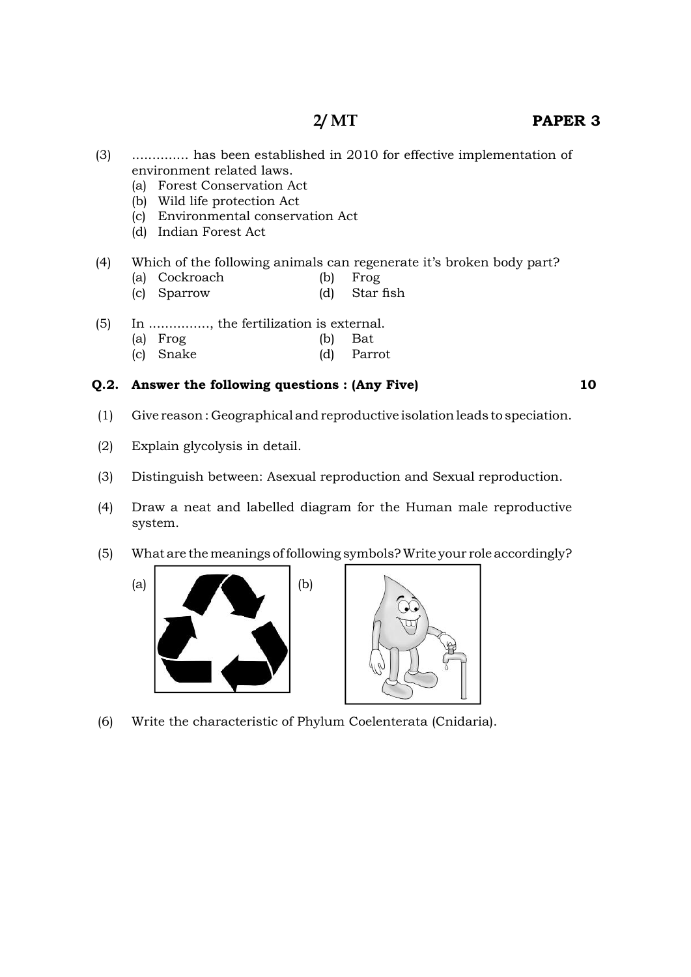- (3) .............. has been established in 2010 for effective implementation of environment related laws.
	- (a) Forest Conservation Act
	- (b) Wild life protection Act
	- (c) Environmental conservation Act
	- (d) Indian Forest Act

### (4) Which of the following animals can regenerate it's broken body part?

- (a) Cockroach (b) Frog
- (c) Sparrow (d) Star fish
- (5) In ..............., the fertilization is external.
	- (a) Frog (b) Bat
	- (c) Snake (d) Parrot

#### **Q.2. Answer the following questions : (Any Five)**

**10**

- (1) Give reason : Geographical and reproductive isolation leads to speciation.
- (2) Explain glycolysis in detail.
- (3) Distinguish between: Asexual reproduction and Sexual reproduction.
- (4) Draw a neat and labelled diagram for the Human male reproductive system.
- (5) What are the meanings of following symbols? Write your role accordingly?





(6) Write the characteristic of Phylum Coelenterata (Cnidaria).